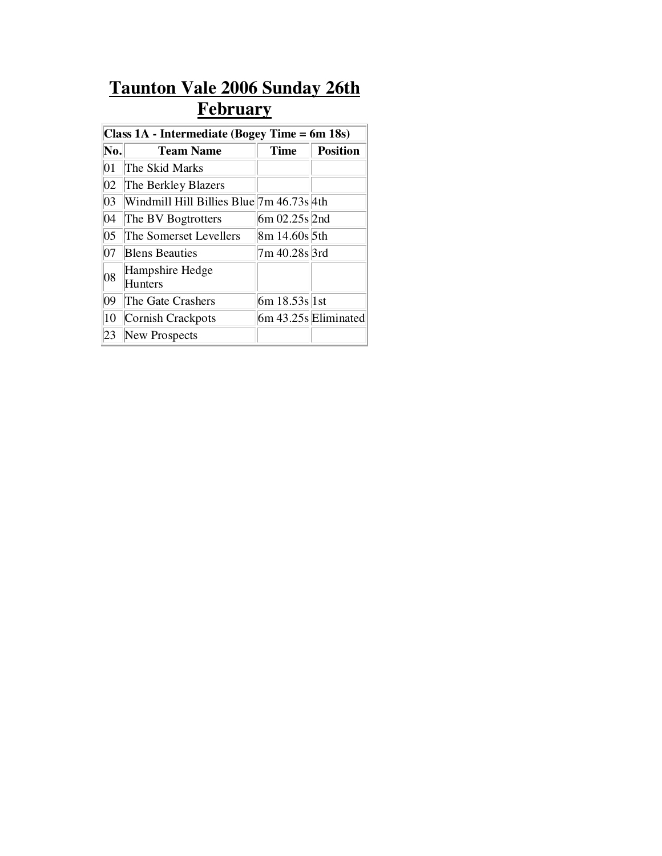## **Taunton Vale 2006 Sunday 26th February**

| Class 1A - Intermediate (Bogey Time = 6m 18s) |                                          |                  |                        |  |  |
|-----------------------------------------------|------------------------------------------|------------------|------------------------|--|--|
| No.                                           | <b>Team Name</b>                         | <b>Time</b>      | <b>Position</b>        |  |  |
| 01                                            | The Skid Marks                           |                  |                        |  |  |
| $ 02\rangle$                                  | The Berkley Blazers                      |                  |                        |  |  |
| 03                                            | Windmill Hill Billies Blue 7m 46.73s 4th |                  |                        |  |  |
| 04                                            | The BV Bogtrotters                       | $6m 02.25s$  2nd |                        |  |  |
| 05                                            | The Somerset Levellers                   | 8m 14.60s 5th    |                        |  |  |
| 07                                            | <b>Blens Beauties</b>                    | 7m 40.28s 3rd    |                        |  |  |
| 08                                            | Hampshire Hedge<br><b>Hunters</b>        |                  |                        |  |  |
| 09                                            | The Gate Crashers                        | $6m 18.53s$  1st |                        |  |  |
| 10                                            | Cornish Crackpots                        |                  | $6m 43.25s$ Eliminated |  |  |
|                                               | New Prospects                            |                  |                        |  |  |